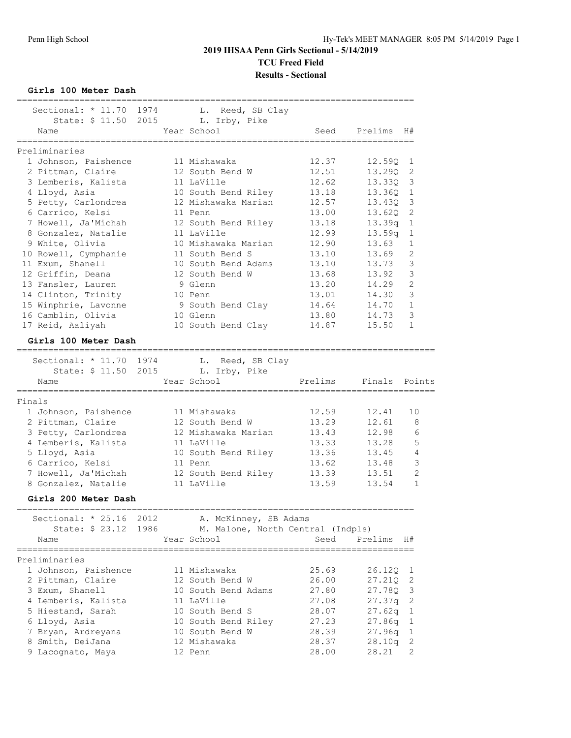**Girls 100 Meter Dash**

|        | Sectional: $* 11.70$   | 1974 | L. Reed, SB Clay                  |         |         |                |
|--------|------------------------|------|-----------------------------------|---------|---------|----------------|
|        | State: \$ 11.50 2015   |      | L. Irby, Pike                     |         |         |                |
|        | Name<br>============== |      | Year School<br>---------------    | Seed    | Prelims | H#             |
|        | Preliminaries          |      |                                   |         |         |                |
|        | 1 Johnson, Paishence   |      | 11 Mishawaka                      | 12.37   | 12.59Q  | 1              |
|        | 2 Pittman, Claire      |      | 12 South Bend W                   | 12.51   | 13.290  | 2              |
|        | 3 Lemberis, Kalista    |      | 11 LaVille                        | 12.62   | 13.33Q  | 3              |
|        | 4 Lloyd, Asia          |      | 10 South Bend Riley               | 13.18   | 13.360  | $\mathbf{1}$   |
|        | 5 Petty, Carlondrea    |      | 12 Mishawaka Marian               | 12.57   | 13.430  | 3              |
|        | 6 Carrico, Kelsi       |      | 11 Penn                           | 13.00   | 13.620  | $\overline{2}$ |
|        | 7 Howell, Ja'Michah    |      | 12 South Bend Riley               | 13.18   | 13.39q  | $\mathbf{1}$   |
|        | 8 Gonzalez, Natalie    |      | 11 LaVille                        | 12.99   | 13.59q  | 1              |
|        | 9 White, Olivia        |      | 10 Mishawaka Marian               | 12.90   | 13.63   | $\mathbf 1$    |
|        | 10 Rowell, Cymphanie   |      | 11 South Bend S                   | 13.10   | 13.69   | $\overline{c}$ |
|        | 11 Exum, Shanell       |      | 10 South Bend Adams               | 13.10   | 13.73   | $\mathcal{S}$  |
|        | 12 Griffin, Deana      |      | 12 South Bend W                   | 13.68   | 13.92   | $\mathcal{S}$  |
|        | 13 Fansler, Lauren     |      | 9 Glenn                           | 13.20   | 14.29   | $\overline{c}$ |
|        | 14 Clinton, Trinity    |      | 10 Penn                           | 13.01   | 14.30   | 3              |
|        |                        |      |                                   | 14.64   | 14.70   | $\mathbf{1}$   |
|        | 15 Winphrie, Lavonne   |      | 9 South Bend Clay                 |         |         |                |
|        | 16 Camblin, Olivia     |      | 10 Glenn                          | 13.80   | 14.73   | 3              |
|        | 17 Reid, Aaliyah       |      | 10 South Bend Clay                | 14.87   | 15.50   | $\mathbf{1}$   |
|        | Girls 100 Meter Dash   |      |                                   |         |         |                |
|        | Sectional: $* 11.70$   | 1974 | L. Reed, SB Clay                  |         |         |                |
|        | State: \$ 11.50        | 2015 | L. Irby, Pike                     |         |         |                |
|        | Name                   |      | Year School                       | Prelims | Finals  | Points         |
|        | ------------------     |      |                                   |         |         |                |
| Finals |                        |      |                                   |         |         |                |
|        | 1 Johnson, Paishence   |      | 11 Mishawaka                      | 12.59   | 12.41   | 10             |
|        | 2 Pittman, Claire      |      | 12 South Bend W                   | 13.29   | 12.61   | 8              |
|        | 3 Petty, Carlondrea    |      | 12 Mishawaka Marian               | 13.43   | 12.98   | 6              |
|        | 4 Lemberis, Kalista    |      | 11 LaVille                        | 13.33   | 13.28   | 5              |
|        | 5 Lloyd, Asia          |      | 10 South Bend Riley               | 13.36   | 13.45   | 4              |
|        | 6 Carrico, Kelsi       |      | 11 Penn                           | 13.62   | 13.48   | 3              |
|        | 7 Howell, Ja'Michah    |      | 12 South Bend Riley               | 13.39   | 13.51   | $\overline{2}$ |
|        | 8 Gonzalez, Natalie    |      | 11 LaVille                        | 13.59   | 13.54   | 1              |
|        |                        |      |                                   |         |         |                |
|        | Girls 200 Meter Dash   |      |                                   |         |         |                |
|        | Sectional: * 25.16     | 2012 | A. McKinney, SB Adams             |         |         |                |
|        | State: \$ 23.12        | 1986 | M. Malone, North Central (Indpls) |         |         |                |
|        | Name                   |      | Year School                       | Seed    | Prelims | H#             |
|        |                        |      |                                   |         |         |                |
|        | Preliminaries          |      |                                   |         |         |                |
|        | 1 Johnson, Paishence   |      | 11 Mishawaka                      | 25.69   | 26.120  | 1              |
|        | 2 Pittman, Claire      |      | 12 South Bend W                   | 26.00   | 27.21Q  | 2              |
|        | 3 Exum, Shanell        |      | 10 South Bend Adams               | 27.80   | 27.78Q  | 3              |
|        | 4 Lemberis, Kalista    |      | 11 LaVille                        | 27.08   | 27.37q  | 2              |
|        | 5 Hiestand, Sarah      |      | 10 South Bend S                   | 28.07   | 27.62q  | 1              |
|        | 6 Lloyd, Asia          |      | 10 South Bend Riley               | 27.23   | 27.86q  | $\mathbf{1}$   |
|        | 7 Bryan, Ardreyana     |      | 10 South Bend W                   | 28.39   | 27.96q  | 1              |
|        | 8 Smith, DeiJana       |      | 12 Mishawaka                      | 28.37   | 28.10q  | 2              |
|        | 9 Lacognato, Maya      |      | 12 Penn                           | 28.00   | 28.21   | 2              |
|        |                        |      |                                   |         |         |                |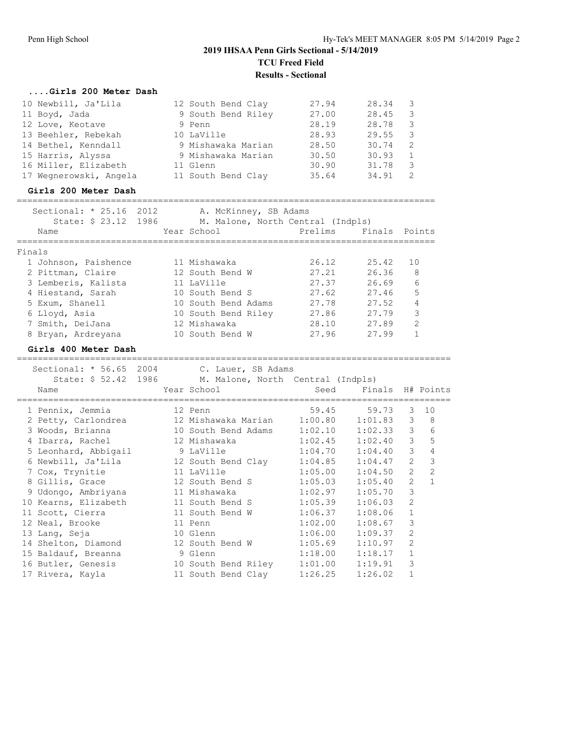#### **....Girls 200 Meter Dash**

| 10 Newbill, Ja'Lila    | 12 South Bend Clay | 27.94 | 28.34 | -3 |
|------------------------|--------------------|-------|-------|----|
| 11 Boyd, Jada          | 9 South Bend Riley | 27.00 | 28.45 | 3  |
| 12 Love, Keotave       | 9 Penn             | 28.19 | 28.78 | 3  |
| 13 Beehler, Rebekah    | 10 LaVille         | 28.93 | 29.55 | -3 |
| 14 Bethel, Kenndall    | 9 Mishawaka Marian | 28.50 | 30.74 | 2  |
| 15 Harris, Alyssa      | 9 Mishawaka Marian | 30.50 | 30.93 | 1  |
| 16 Miller, Elizabeth   | 11 Glenn           | 30.90 | 31.78 | 3  |
| 17 Wegnerowski, Angela | 11 South Bend Clay | 35.64 | 34.91 |    |

#### **Girls 200 Meter Dash**

#### ================================================================================

| Sectional: $* 25.16$<br>2012 | A. McKinney, SB Adams             |         |        |                |
|------------------------------|-----------------------------------|---------|--------|----------------|
| State: \$ 23.12 1986         | M. Malone, North Central (Indpls) |         |        |                |
| Name                         | Year School                       | Prelims | Finals | Points         |
| Finals                       |                                   |         |        |                |
| 1 Johnson, Paishence         | 11 Mishawaka                      | 26.12   | 25.42  | 10             |
| 2 Pittman, Claire            | 12 South Bend W                   | 27.21   | 26.36  | - 8            |
| 3 Lemberis, Kalista          | 11 LaVille                        | 27.37   | 26.69  | 6              |
| 4 Hiestand, Sarah            | 10 South Bend S                   | 27.62   | 27.46  | 5              |
| 5 Exum, Shanell              | 10 South Bend Adams               | 27.78   | 27.52  | 4              |
| 6 Lloyd, Asia                | 10 South Bend Riley               | 27.86   | 27.79  | 3              |
| 7 Smith, DeiJana             | 12 Mishawaka                      | 28.10   | 27.89  | $\overline{2}$ |
| 8 Bryan, Ardreyana           | 10 South Bend W                   | 27.96   | 27.99  | $\mathbf{1}$   |
| Girls 400 Meter Dash         |                                   |         |        |                |

# ===================================================================================

| Sectional: * 56.65 2004 C. Lauer, SB Adams<br>Name                         | State: \$52.42 1986 M. Malone, North Central (Indpls) |                     |         |                |                  |
|----------------------------------------------------------------------------|-------------------------------------------------------|---------------------|---------|----------------|------------------|
| 1 Pennix, Jemmia 12 Penn                                                   | $59.45$ $59.73$                                       |                     |         | 3              | 10               |
| 2 Petty, Carlondrea (12 Mishawaka Marian (1:00.80 1:01.83)                 |                                                       |                     |         |                | $3 \quad 8$      |
| 3 Woods, Brianna                                                           | 10 South Bend Adams  1:02.10  1:02.33  3              |                     |         |                | 6                |
| 4 Ibarra, Rachel 12 Mishawaka 1:02.45 1:02.40                              |                                                       |                     |         |                | 5<br>$3^{\circ}$ |
| 5 Leonhard, Abbigail 9 LaVille 1:04.70 1:04.40 3                           |                                                       |                     |         |                | $\overline{4}$   |
| 6 Newbill, Ja'Lila 12 South Bend Clay 1:04.85 1:04.47                      |                                                       |                     |         | $\overline{2}$ | $\mathcal{E}$    |
| 7 Cox, Trynitie 11 LaVille 1:05.00 1:04.50                                 |                                                       |                     |         | 2              | 2                |
| 8 Gillis, Grace 12 South Bend S 1:05.03 1:05.40                            |                                                       |                     |         | $\overline{2}$ | $\mathbf{1}$     |
| 9 Udongo, Ambriyana $11$ Mishawaka $1:02.97$ $1:05.70$                     |                                                       |                     |         | 3              |                  |
| 10 Kearns, Elizabeth 11 South Bend S 1:05.39                               |                                                       |                     | 1:06.03 | $\mathfrak{D}$ |                  |
| 11 Scott, Cierra               11 South Bend W         1:06.37     1:08.06 |                                                       |                     |         | $\mathbf{1}$   |                  |
| 12 Neal, Brooke                                                            | 11 Penn                                               | $1:02.00$ $1:08.67$ |         | 3              |                  |
| 13 Lang, Seja (10 Glenn (1:06.00 1:09.37)                                  |                                                       |                     |         | $\mathfrak{D}$ |                  |
| 14 Shelton, Diamond 12 South Bend W 1:05.69 1:10.97                        |                                                       |                     |         | $\mathcal{P}$  |                  |
| 15 Baldauf, Breanna 9 Glenn                                                |                                                       | $1:18.00$ $1:18.17$ |         | $\mathbf{1}$   |                  |
| 16 Butler, Genesis 10 South Bend Riley 1:01.00 1:19.91                     |                                                       |                     |         | 3              |                  |
| 17 Rivera, Kayla               11 South Bend Clay       1:26.25            |                                                       |                     | 1:26.02 | $\mathbf{1}$   |                  |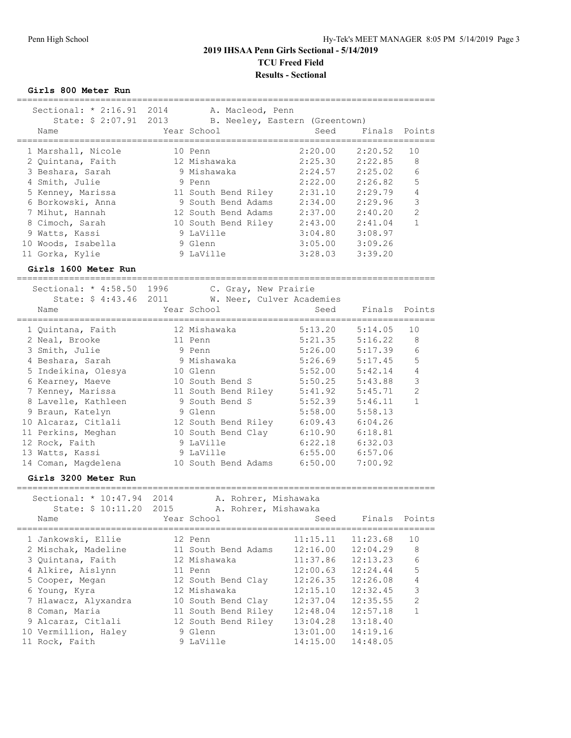**Girls 800 Meter Run**

| Sectional: * 2:16.91 2014                             |      | A. Macleod, Penn                 |                      |          |          |                |
|-------------------------------------------------------|------|----------------------------------|----------------------|----------|----------|----------------|
| State: \$ 2:07.91 2013 B. Neeley, Eastern (Greentown) |      |                                  |                      |          |          |                |
| Name                                                  |      | Year School                      |                      | Seed     | Finals   | Points         |
|                                                       |      |                                  |                      |          |          |                |
| 1 Marshall, Nicole                                    |      | 10 Penn                          |                      | 2:20.00  | 2:20.52  | 10             |
| 2 Quintana, Faith                                     |      | 12 Mishawaka                     |                      | 2:25.30  | 2:22.85  | 8              |
| 3 Beshara, Sarah                                      |      | 9 Mishawaka                      |                      | 2:24.57  | 2:25.02  | 6              |
| 4 Smith, Julie                                        |      | 9 Penn                           |                      | 2:22.00  | 2:26.82  | 5              |
| 5 Kenney, Marissa                                     |      | 11 South Bend Riley              |                      | 2:31.10  | 2:29.79  | 4              |
| 6 Borkowski, Anna                                     |      | 9 South Bend Adams               |                      | 2:34.00  | 2:29.96  | 3              |
| 7 Mihut, Hannah                                       |      | 12 South Bend Adams              |                      | 2:37.00  | 2:40.20  | $\overline{c}$ |
| 8 Cimoch, Sarah                                       |      |                                  |                      | 2:43.00  | 2:41.04  | $\mathbf{1}$   |
| 9 Watts, Kassi                                        |      | 10 South Bend Riley<br>9 LaVille |                      | 3:04.80  | 3:08.97  |                |
|                                                       |      |                                  |                      |          |          |                |
| 10 Woods, Isabella                                    |      | 9 Glenn                          |                      | 3:05.00  | 3:09.26  |                |
| 11 Gorka, Kylie                                       |      | 9 LaVille                        |                      | 3:28.03  | 3:39.20  |                |
| Girls 1600 Meter Run                                  |      |                                  |                      |          |          |                |
|                                                       |      |                                  |                      |          |          |                |
| Sectional: * 4:58.50 1996                             |      |                                  | C. Gray, New Prairie |          |          |                |
| State: \$ 4:43.46 2011                                |      | W. Neer, Culver Academies        |                      |          |          |                |
| Name                                                  |      | Year School                      |                      | Seed     | Finals   | Points         |
|                                                       |      |                                  |                      |          |          |                |
| 1 Quintana, Faith                                     |      | 12 Mishawaka                     |                      | 5:13.20  | 5:14.05  | 10             |
| 2 Neal, Brooke                                        |      | 11 Penn                          |                      | 5:21.35  | 5:16.22  | 8              |
| 3 Smith, Julie                                        |      | 9 Penn                           |                      | 5:26.00  | 5:17.39  | 6              |
| 4 Beshara, Sarah                                      |      | 9 Mishawaka                      |                      | 5:26.69  | 5:17.45  | 5              |
| 5 Indeikina, Olesya                                   |      | 10 Glenn                         |                      | 5:52.00  | 5:42.14  | 4              |
| 6 Kearney, Maeve                                      |      | 10 South Bend S                  |                      | 5:50.25  | 5:43.88  | 3              |
| 7 Kenney, Marissa                                     |      | 11 South Bend Riley              |                      | 5:41.92  | 5:45.71  | $\overline{2}$ |
| 8 Lavelle, Kathleen                                   |      | 9 South Bend S                   |                      | 5:52.39  | 5:46.11  | $\mathbf{1}$   |
| 9 Braun, Katelyn                                      |      | 9 Glenn                          |                      | 5:58.00  | 5:58.13  |                |
| 10 Alcaraz, Citlali                                   |      | 12 South Bend Riley              |                      | 6:09.43  | 6:04.26  |                |
| 11 Perkins, Meghan                                    |      | 10 South Bend Clay               |                      | 6:10.90  | 6:18.81  |                |
| 12 Rock, Faith                                        |      | 9 LaVille                        |                      | 6:22.18  | 6:32.03  |                |
| 13 Watts, Kassi                                       |      | 9 LaVille                        |                      | 6:55.00  | 6:57.06  |                |
| 14 Coman, Magdelena                                   |      | 10 South Bend Adams              |                      | 6:50.00  | 7:00.92  |                |
| Girls 3200 Meter Run                                  |      |                                  |                      |          |          |                |
|                                                       |      |                                  |                      |          |          |                |
| Sectional: * 10:47.94                                 | 2014 |                                  | A. Rohrer, Mishawaka |          |          |                |
| State: \$ 10:11.20                                    | 2015 |                                  | A. Rohrer, Mishawaka |          |          |                |
| Name                                                  |      | Year School                      |                      | Seed     | Finals   | Points         |
|                                                       |      |                                  |                      | ------   |          | _____________  |
| 1 Jankowski, Ellie                                    |      | 12 Penn                          |                      | 11:15.11 | 11:23.68 | 10             |
| 2 Mischak, Madeline                                   |      | 11 South Bend Adams              |                      | 12:16.00 | 12:04.29 | 8              |
| 3 Quintana, Faith                                     |      | 12 Mishawaka                     |                      | 11:37.86 | 12:13.23 | 6              |
| 4 Alkire, Aislynn                                     |      | 11 Penn                          |                      | 12:00.63 | 12:24.44 | 5              |
| 5 Cooper, Megan                                       |      | 12 South Bend Clay               |                      | 12:26.35 | 12:26.08 | 4              |
| 6 Young, Kyra                                         |      | 12 Mishawaka                     |                      | 12:15.10 | 12:32.45 | 3              |
| 7 Hlawacz, Alyxandra                                  |      | 10 South Bend Clay               |                      | 12:37.04 | 12:35.55 | 2              |
| 8 Coman, Maria                                        |      | 11 South Bend Riley              |                      | 12:48.04 | 12:57.18 | $\mathbf{1}$   |
| 9 Alcaraz, Citlali                                    |      | 12 South Bend Riley              |                      | 13:04.28 | 13:18.40 |                |
| 10 Vermillion, Haley                                  |      | 9 Glenn                          |                      | 13:01.00 | 14:19.16 |                |
| 11 Rock, Faith                                        |      | 9 LaVille                        |                      | 14:15.00 | 14:48.05 |                |
|                                                       |      |                                  |                      |          |          |                |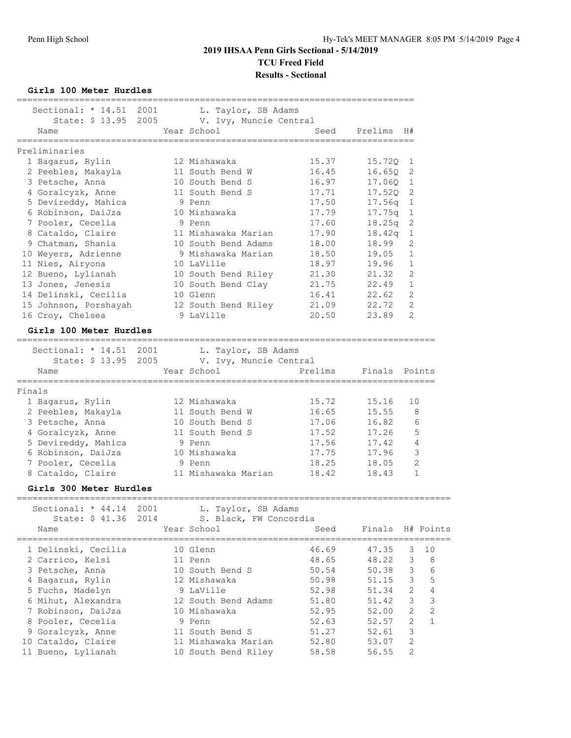**Girls 100 Meter Hurdles**

| Sectional: $*$ 14.51                                       | 2001 |                                                                   |                             |         |                     |              |
|------------------------------------------------------------|------|-------------------------------------------------------------------|-----------------------------|---------|---------------------|--------------|
|                                                            |      | L. Taylor, SB Adams<br>State: \$13.95 2005 V. Ivy, Muncie Central |                             |         |                     |              |
| Name                                                       |      | Year School                                                       | Seed                        | Prelims | H#                  |              |
| ================                                           |      | =================                                                 | =========================== |         |                     |              |
| Preliminaries                                              |      |                                                                   |                             |         |                     |              |
| 1 Bagarus, Rylin                                           |      | 12 Mishawaka                                                      | 15.37                       | 15.720  | 1                   |              |
| 2 Peebles, Makayla                                         |      | 11 South Bend W                                                   | 16.45                       | 16.65Q  | 2                   |              |
| 3 Petsche, Anna                                            |      | 10 South Bend S                                                   | 16.97                       | 17.060  | 1                   |              |
| 4 Goralcyzk, Anne                                          |      | 11 South Bend S                                                   | 17.71                       | 17.52Q  | 2                   |              |
| 5 Devireddy, Mahica                                        |      | 9 Penn                                                            | 17.50                       | 17.56q  | $\mathbf{1}$        |              |
| 6 Robinson, DaiJza                                         |      | 10 Mishawaka                                                      | 17.79                       | 17.75q  | $\mathbf{1}$        |              |
| 7 Pooler, Cecelia                                          |      | 9 Penn                                                            | 17.60                       | 18.25q  | 2                   |              |
| 8 Cataldo, Claire                                          |      | 11 Mishawaka Marian                                               | 17.90                       | 18.42q  | $\mathbf{1}$        |              |
| 9 Chatman, Shania                                          |      | 10 South Bend Adams                                               | 18.00                       | 18.99   | 2                   |              |
| 10 Weyers, Adrienne                                        |      | 9 Mishawaka Marian                                                | 18.50                       | 19.05   | $\mathbf{1}$        |              |
| 11 Nies, Airyona                                           |      | 10 LaVille                                                        | 18.97                       | 19.96   | $\mathbf{1}$        |              |
| 12 Bueno, Lylianah                                         |      | 10 South Bend Riley                                               | 21.30                       | 21.32   | 2                   |              |
| 13 Jones, Jenesis                                          |      | 10 South Bend Clay                                                | 21.75                       | 22.49   | $\mathbf{1}$        |              |
| 14 Delinski, Cecilia                                       |      | 10 Glenn                                                          | 16.41                       | 22.62   | 2                   |              |
| 15 Johnson, Porshayah                                      |      | 12 South Bend Riley                                               | 21.09                       | 22.72   | 2<br>$\overline{2}$ |              |
| 16 Croy, Chelsea                                           |      | 9 LaVille                                                         | 20.50                       | 23.89   |                     |              |
| Girls 100 Meter Hurdles                                    |      |                                                                   |                             |         |                     |              |
| Sectional: * 14.51 2001                                    |      | L. Taylor, SB Adams                                               |                             |         |                     |              |
| State: \$ 13.95                                            | 2005 | V. Ivy, Muncie Central                                            |                             |         |                     |              |
| Name                                                       |      | Year School                                                       | Prelims                     | Finals  |                     | Points       |
|                                                            |      |                                                                   |                             |         |                     |              |
| Finals                                                     |      |                                                                   |                             |         |                     |              |
| 1 Bagarus, Rylin                                           |      | 12 Mishawaka                                                      | 15.72                       | 15.16   | 10                  |              |
| 2 Peebles, Makayla                                         |      | 11 South Bend W                                                   | 16.65                       | 15.55   | 8                   |              |
| 3 Petsche, Anna                                            |      | 10 South Bend S                                                   | 17.06                       | 16.82   | 6                   |              |
| 4 Goralcyzk, Anne                                          |      | 11 South Bend S                                                   | 17.52                       | 17.26   | 5<br>$\overline{4}$ |              |
| 5 Devireddy, Mahica                                        |      | 9 Penn                                                            | 17.56                       | 17.42   | 3                   |              |
| 6 Robinson, DaiJza                                         |      | 10 Mishawaka<br>9 Penn                                            | 17.75                       | 17.96   | 2                   |              |
| 7 Pooler, Cecelia                                          |      |                                                                   | 18.25                       | 18.05   |                     |              |
| 8 Cataldo, Claire                                          |      | 11 Mishawaka Marian                                               | 18.42                       | 18.43   |                     | $\mathbf 1$  |
| Girls 300 Meter Hurdles<br>_______________________________ |      |                                                                   |                             |         |                     |              |
| Sectional: * 44.14                                         | 2001 | L. Taylor, SB Adams                                               |                             |         |                     |              |
| State: \$ 41.36                                            | 2014 | S. Black, FW Concordia                                            |                             |         |                     |              |
| Name                                                       |      | Year School                                                       | Seed                        | Finals  |                     | H# Points    |
| 1 Delinski, Cecilia                                        |      | 10 Glenn                                                          | 46.69                       | 47.35   | 3                   | 10           |
| 2 Carrico, Kelsi                                           |      | 11 Penn                                                           | 48.65                       | 48.22   | 3                   | 8            |
| 3 Petsche, Anna                                            |      | 10 South Bend S                                                   | 50.54                       | 50.38   | 3                   | 6            |
| 4 Bagarus, Rylin                                           |      | 12 Mishawaka                                                      | 50.98                       | 51.15   | 3                   | 5            |
| 5 Fuchs, Madelyn                                           |      | 9 LaVille                                                         | 52.98                       | 51.34   | $\mathbf{2}$        | 4            |
| 6 Mihut, Alexandra                                         |      | 12 South Bend Adams                                               | 51.80                       | 51.42   | $\mathfrak{Z}$      | $\mathsf 3$  |
| 7 Robinson, DaiJza                                         |      | 10 Mishawaka                                                      | 52.95                       | 52.00   | $\mathbf{2}$        | $\mathbf{2}$ |
| 8 Pooler, Cecelia                                          |      | 9 Penn                                                            | 52.63                       | 52.57   | $\mathbf{2}$        | $\mathbf{1}$ |
| 9 Goralcyzk, Anne                                          |      | 11 South Bend S                                                   | 51.27                       | 52.61   | 3                   |              |
| 10 Cataldo, Claire                                         |      | 11 Mishawaka Marian                                               | 52.80                       | 53.07   | $\mathbf{2}$        |              |
| 11 Bueno, Lylianah                                         |      | 10 South Bend Riley                                               | 58.58                       | 56.55   | $\mathbf{2}$        |              |
|                                                            |      |                                                                   |                             |         |                     |              |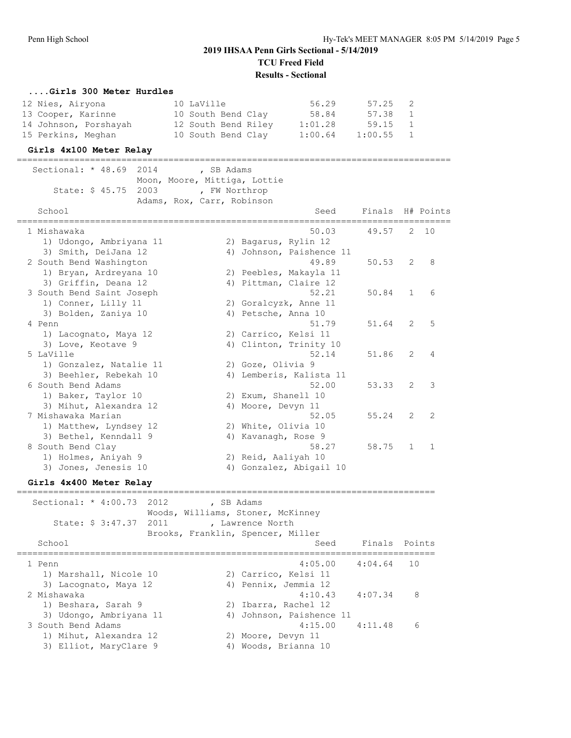#### **....Girls 300 Meter Hurdles**

| 12 Nies, Airyona      | 10 LaVille          | 56.29   | 57.25 2     |  |
|-----------------------|---------------------|---------|-------------|--|
| 13 Cooper, Karinne    | 10 South Bend Clay  | 58.84   | 57.38 1     |  |
| 14 Johnson, Porshayah | 12 South Bend Riley | 1:01.28 | 59.15 1     |  |
| 15 Perkins, Meghan    | 10 South Bend Clay  | 1:00.64 | $1:00.55$ 1 |  |

#### **Girls 4x100 Meter Relay**

=================================================================================== Sectional: \* 48.69 2014 , SB Adams Moon, Moore, Mittiga, Lottie State: \$ 45.75 2003 , FW Northrop Adams, Rox, Carr, Robinson School School Seed Finals H# Points =================================================================================== 1 Mishawaka 50.03 49.57 2 10 1) Udongo, Ambriyana 11 2) Bagarus, Rylin 12 3) Smith, DeiJana 12 4) Johnson, Paishence 11 2 South Bend Washington 49.89 50.53 2 8 1) Bryan, Ardreyana 10 2) Peebles, Makayla 11 3) Griffin, Deana 12 4) Pittman, Claire 12 3 South Bend Saint Joseph 52.21 50.84 1 6 1) Conner, Lilly 11 2) Goralcyzk, Anne 11 3) Bolden, Zaniya 10 (4) Petsche, Anna 10 4 Penn 51.79 51.64 2 5 1) Lacognato, Maya 12 2) Carrico, Kelsi 11 3) Love, Keotave 9 4) Clinton, Trinity 10 5 LaVille 52.14 51.86 2 4 1) Gonzalez, Natalie 11 and 2) Goze, Olivia 9 3) Beehler, Rebekah 10 4) Lemberis, Kalista 11 6 South Bend Adams 52.00 53.33 2 3 1) Baker, Taylor 10 2) Exum, Shanell 10 3) Mihut, Alexandra 12 (4) Moore, Devyn 11 7 Mishawaka Marian 52.05 55.24 2 2 1) Matthew, Lyndsey 12 2) White, Olivia 10 3) Bethel, Kenndall 9 1944 (4) Kavanagh, Rose 9 8 South Bend Clay 58.27 58.75 1 1 1) Holmes, Aniyah 9 2) Reid, Aaliyah 10 3) Jones, Jenesis 10 4) Gonzalez, Abigail 10

### **Girls 4x400 Meter Relay**

================================================================================ Sectional: \* 4:00.73 2012 , SB Adams Woods, Williams, Stoner, McKinney State: \$ 3:47.37 2011 , Lawrence North Brooks, Franklin, Spencer, Miller School Seed Finals Points ================================================================================ 1 Penn 4:05.00 4:04.64 10 1) Marshall, Nicole 10 2) Carrico, Kelsi 11 3) Lacognato, Maya 12 (4) Pennix, Jemmia 12 2 Mishawaka 4:10.43 4:07.34 8 1) Beshara, Sarah 9 2) Ibarra, Rachel 12 3) Udongo, Ambriyana 11 4) Johnson, Paishence 11 3 South Bend Adams 4:15.00 4:11.48 6 1) Mihut, Alexandra 12 and 2) Moore, Devyn 11 3) Elliot, MaryClare 9 (4) Woods, Brianna 10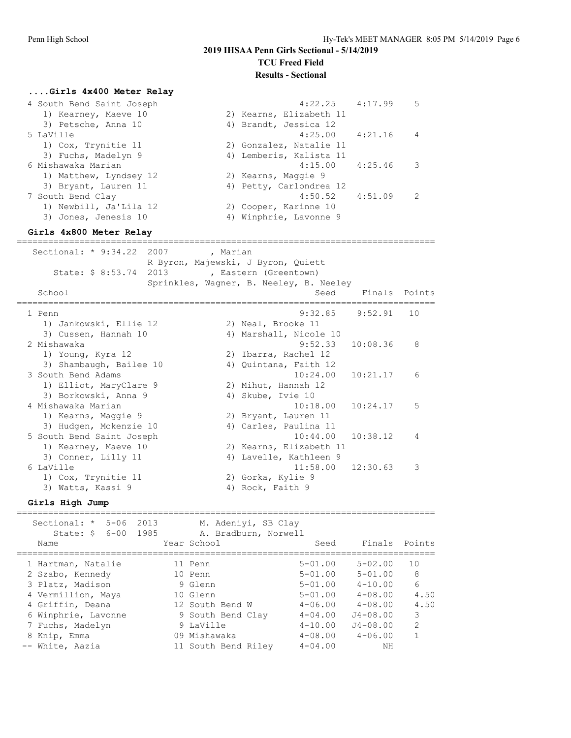### **2019 IHSAA Penn Girls Sectional - 5/14/2019 TCU Freed Field**

#### **Results - Sectional**

#### **....Girls 4x400 Meter Relay**

| 4 South Bend Saint Joseph | 4:22.25                 | 4:17.99 | 5              |
|---------------------------|-------------------------|---------|----------------|
| 1) Kearney, Maeve 10      | 2) Kearns, Elizabeth 11 |         |                |
| 3) Petsche, Anna 10       | 4) Brandt, Jessica 12   |         |                |
| 5 LaVille                 | $4:25.00$ $4:21.16$     |         | $\overline{4}$ |
| 1) Cox, Trynitie 11       | 2) Gonzalez, Natalie 11 |         |                |
| 3) Fuchs, Madelyn 9       | 4) Lemberis, Kalista 11 |         |                |
| 6 Mishawaka Marian        | $4:15.00$ $4:25.46$     |         | -3             |
| 1) Matthew, Lyndsey 12    | 2) Kearns, Maggie 9     |         |                |
| 3) Bryant, Lauren 11      | 4) Petty, Carlondrea 12 |         |                |
| 7 South Bend Clay         | $4:50.52$ $4:51.09$     |         | 2              |
| 1) Newbill, Ja'Lila 12    | 2) Cooper, Karinne 10   |         |                |
| 3) Jones, Jenesis 10      | 4) Winphrie, Lavonne 9  |         |                |
|                           |                         |         |                |

### **Girls 4x800 Meter Relay**

================================================================================ Sectional: \* 9:34.22 2007 , Marian R Byron, Majewski, J Byron, Quiett State: \$ 8:53.74 2013 , Eastern (Greentown) Sprinkles, Wagner, B. Neeley, B. Neeley School Seed Finals Points ================================================================================ 1 Penn 9:32.85 9:52.91 10 1) Jankowski, Ellie 12 and 2) Neal, Brooke 11 3) Cussen, Hannah 10 4) Marshall, Nicole 10 2 Mishawaka 9:52.33 10:08.36 8 1) Young, Kyra 12 2) Ibarra, Rachel 12 3) Shambaugh, Bailee 10 4) Quintana, Faith 12 3 South Bend Adams 10:24.00 10:21.17 6 1) Elliot, MaryClare 9 2) Mihut, Hannah 12 3) Borkowski, Anna 9 4) Skube, Ivie 10 4 Mishawaka Marian 10:18.00 10:24.17 5 1) Kearns, Maggie 9 2) Bryant, Lauren 11 3) Hudgen, Mckenzie 10 4) Carles, Paulina 11 5 South Bend Saint Joseph 10:44.00 10:38.12 4 1) Kearney, Maeve 10 2) Kearns, Elizabeth 11 3) Conner, Lilly 11 4) Lavelle, Kathleen 9 6 LaVille 11:58.00 12:30.63 3 1) Cox, Trynitie 11 2) Gorka, Kylie 9 3) Watts, Kassi 9 4) Rock, Faith 9

#### **Girls High Jump**

| Sectional: *<br>$5 - 06$<br>State: \$ 6-00 1985 | 2013 | M. Adeniyi, SB Clay<br>A. Bradburn, Norwell |             |               |               |
|-------------------------------------------------|------|---------------------------------------------|-------------|---------------|---------------|
| Name                                            |      | Year School                                 | Seed        | Finals Points |               |
| 1 Hartman, Natalie                              |      | 11 Penn                                     | $5 - 01.00$ | $5 - 02.00$   | 10            |
| 2 Szabo, Kennedy                                |      | 10 Penn                                     | $5 - 01.00$ | $5 - 01.00$   | 8             |
| 3 Platz, Madison                                |      | 9 Glenn                                     | $5 - 01.00$ | $4 - 10.00$   | 6             |
| 4 Vermillion, Maya                              |      | 10 Glenn                                    | $5 - 01.00$ | $4 - 08.00$   | 4.50          |
| 4 Griffin, Deana                                |      | 12 South Bend W                             | $4 - 06.00$ | $4 - 08.00$   | 4.50          |
| 6 Winphrie, Lavonne                             |      | 9 South Bend Clay                           | $4 - 04.00$ | $J4 - 08.00$  | 3             |
| 7 Fuchs, Madelyn                                |      | 9 LaVille                                   | $4 - 10.00$ | $J4 - 08.00$  | $\mathcal{P}$ |
| 8 Knip, Emma                                    |      | 09 Mishawaka                                | $4 - 08.00$ | $4 - 06.00$   | 1             |
| -- White, Aazia                                 |      | 11 South Bend Riley                         | $4 - 04.00$ | ΝH            |               |
|                                                 |      |                                             |             |               |               |

================================================================================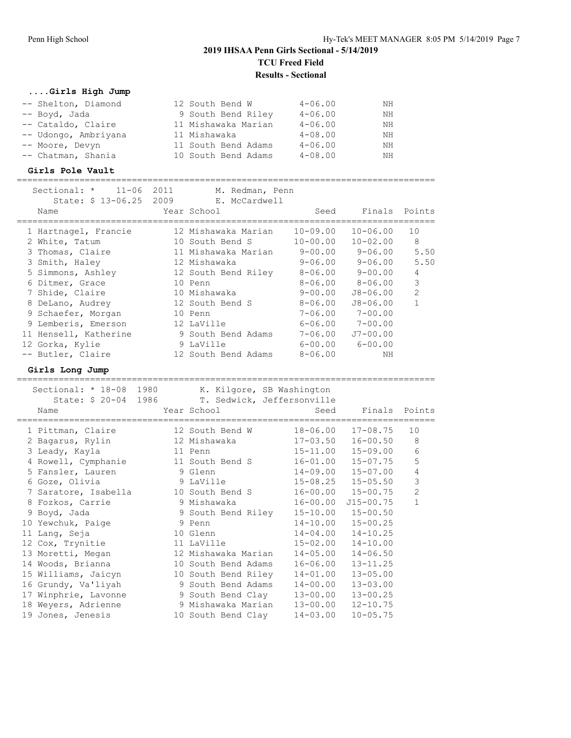================================================================================

### **....Girls High Jump**

| -- Shelton, Diamond  | 12 South Bend W     | $4 - 06.00$ | NΗ |
|----------------------|---------------------|-------------|----|
| -- Boyd, Jada        | 9 South Bend Riley  | $4 - 06.00$ | NΗ |
| -- Cataldo, Claire   | 11 Mishawaka Marian | $4 - 06.00$ | ΝH |
| -- Udongo, Ambriyana | 11 Mishawaka        | $4 - 08.00$ | ΝH |
| -- Moore, Devyn      | 11 South Bend Adams | $4 - 06.00$ | NН |
| -- Chatman, Shania   | 10 South Bend Adams | $4 - 08.00$ | NΗ |

### **Girls Pole Vault**

| $11 - 06$<br>Sectional: *<br>Name | 2011<br>M. Redman, Penn<br>State: \$ 13-06.25 2009 E. McCardwell<br>Year School | Seed         | Finals Points           |                |
|-----------------------------------|---------------------------------------------------------------------------------|--------------|-------------------------|----------------|
| 1 Hartnagel, Francie              | 12 Mishawaka Marian                                                             | $10 - 09.00$ | $10 - 06.00$            | 10             |
| 2 White, Tatum                    | 10 South Bend S                                                                 | $10 - 00.00$ | $10 - 02.00$            | 8              |
| 3 Thomas, Claire                  | 11 Mishawaka Marian                                                             | $9 - 00.00$  | $9 - 06.00$             | 5.50           |
| 3 Smith, Haley                    | 12 Mishawaka                                                                    | $9 - 06.00$  | $9 - 06.00$             | 5.50           |
| 5 Simmons, Ashley                 | 12 South Bend Riley                                                             | $8 - 06.00$  | 9-00.00                 | $\overline{4}$ |
| 6 Ditmer, Grace                   | 10 Penn                                                                         | $8 - 06.00$  | 8-06.00                 | 3              |
| 7 Shide, Claire                   | 10 Mishawaka                                                                    | 9-00.00      | J8-06.00                | 2              |
| 8 DeLano, Audrey                  | 12 South Bend S                                                                 | $8 - 06.00$  | $J8 - 06.00$            | $\mathbf{1}$   |
| 9 Schaefer, Morgan                | 10 Penn                                                                         | $7 - 06.00$  | $7 - 00.00$             |                |
| 9 Lemberis, Emerson               | 12 LaVille                                                                      |              | $6 - 06.00$ $7 - 00.00$ |                |
| 11 Hensell, Katherine             | 9 South Bend Adams                                                              | 7-06.00      | $J7 - 00.00$            |                |
| 12 Gorka, Kylie                   | 9 LaVille                                                                       | $6 - 00.00$  | $6 - 00.00$             |                |
| -- Butler, Claire                 | 12 South Bend Adams                                                             | $8 - 06.00$  | NΗ                      |                |
| _ _ _ _                           |                                                                                 |              |                         |                |

### **Girls Long Jump**

| Sectional: * 18-08 1980 |  |                            | K. Kilgore, SB Washington |                           |                |
|-------------------------|--|----------------------------|---------------------------|---------------------------|----------------|
| State: \$ 20-04 1986    |  | T. Sedwick, Jeffersonville |                           |                           |                |
| Name                    |  | Year School                | Seed                      | Finals Points             |                |
| 1 Pittman, Claire       |  | 12 South Bend W            | 18-06.00                  | $17 - 08.75$              | 10             |
| 2 Bagarus, Rylin        |  | 12 Mishawaka               | $17 - 03.50$              | $16 - 00.50$              | 8              |
|                         |  |                            |                           |                           |                |
| 3 Leady, Kayla          |  | 11 Penn                    |                           | 15-11.00 15-09.00         | 6              |
| 4 Rowell, Cymphanie     |  | 11 South Bend S            |                           | $16 - 01.00$ $15 - 07.75$ | 5              |
| 5 Fansler, Lauren       |  | 9 Glenn                    |                           | $14 - 09.00$ $15 - 07.00$ | $\sqrt{4}$     |
| 6 Goze, Olivia          |  | 9 LaVille                  |                           | $15 - 08.25$ $15 - 05.50$ | 3              |
| 7 Saratore, Isabella    |  | 10 South Bend S            |                           | $16 - 00.00$ $15 - 00.75$ | $\overline{c}$ |
| 8 Fozkos, Carrie        |  | 9 Mishawaka                | 16-00.00                  | $J15 - 00.75$             | $\mathbf{1}$   |
| 9 Boyd, Jada            |  | 9 South Bend Riley         |                           | $15 - 10.00$ $15 - 00.50$ |                |
| 10 Yewchuk, Paige       |  | 9 Penn                     |                           | $14-10.00$ $15-00.25$     |                |
| 11 Lang, Seja           |  | 10 Glenn                   | $14 - 04.00$              | $14 - 10.25$              |                |
| 12 Cox, Trynitie        |  | 11 LaVille                 | $15 - 02.00$              | $14 - 10.00$              |                |
| 13 Moretti, Megan       |  | 12 Mishawaka Marian        | $14 - 05.00$              | $14 - 06.50$              |                |
| 14 Woods, Brianna       |  | 10 South Bend Adams        | $16 - 06.00$              | $13 - 11.25$              |                |
| 15 Williams, Jaicyn     |  | 10 South Bend Riley        | $14 - 01.00$              | $13 - 05.00$              |                |
| 16 Grundy, Va'liyah     |  | 9 South Bend Adams         | $14 - 00.00$              | $13 - 03.00$              |                |
| 17 Winphrie, Lavonne    |  | 9 South Bend Clay          | 13-00.00                  | $13 - 00.25$              |                |
| 18 Weyers, Adrienne     |  | 9 Mishawaka Marian         | $13 - 00.00$              | $12 - 10.75$              |                |
| 19 Jones, Jenesis       |  | 10 South Bend Clay         | $14 - 03.00$              | $10 - 05.75$              |                |